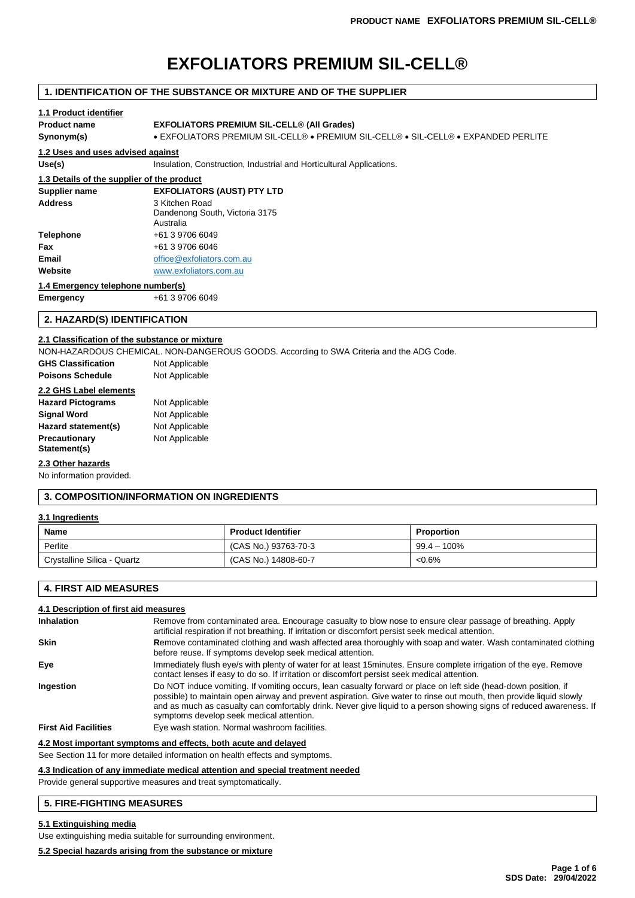# **EXFOLIATORS PREMIUM SIL-CELL®**

## **1. IDENTIFICATION OF THE SUBSTANCE OR MIXTURE AND OF THE SUPPLIER**

## **1.1 Product identifier**

## **Product name EXFOLIATORS PREMIUM SIL-CELL® (All Grades)**

**Synonym(s)** • EXFOLIATORS PREMIUM SIL-CELL® • PREMIUM SIL-CELL® • SIL-CELL® • EXPANDED PERLITE

#### **1.2 Uses and uses advised against**

Use(s) **Insulation, Construction, Industrial and Horticultural Applications.** 

# **1.3 Details of the supplier of the product**

| <b>EXFOLIATORS (AUST) PTY LTD</b><br>Supplier name |                                                               |
|----------------------------------------------------|---------------------------------------------------------------|
| <b>Address</b>                                     | 3 Kitchen Road<br>Dandenong South, Victoria 3175<br>Australia |
| <b>Telephone</b>                                   | +61 3 9706 6049                                               |
| Fax                                                | +61 3 9706 6046                                               |
| Email                                              | office@exfoliators.com.au                                     |
| Website                                            | www.exfoliators.com.au                                        |
|                                                    |                                                               |

#### **1.4 Emergency telephone number(s)**

**Emergency** +61 3 9706 6049

## **2. HAZARD(S) IDENTIFICATION**

#### **2.1 Classification of the substance or mixture**

NON-HAZARDOUS CHEMICAL. NON-DANGEROUS GOODS. According to SWA Criteria and the ADG Code.

| <b>GHS Classification</b> | Not Applicable |
|---------------------------|----------------|
| <b>Poisons Schedule</b>   | Not Applicable |
| 2.2 GHS Label elements    |                |
| <b>Hazard Pictograms</b>  | Not Applicable |
| <b>Signal Word</b>        | Not Applicable |
| Hazard statement(s)       | Not Applicable |
| Precautionary             | Not Applicable |

## **2.3 Other hazards**

**Statement(s)**

No information provided.

#### **3. COMPOSITION/INFORMATION ON INGREDIENTS**

## **3.1 Ingredients**

| Name                        | <b>Product Identifier</b> | <b>Proportion</b> |
|-----------------------------|---------------------------|-------------------|
| Perlite                     | (CAS No.) 93763-70-3      | $99.4 - 100\%$    |
| Crystalline Silica - Quartz | (CAS No.) 14808-60-7      | $<0.6\%$          |

## **4. FIRST AID MEASURES**

#### **4.1 Description of first aid measures**

| <b>Inhalation</b>           | Remove from contaminated area. Encourage casualty to blow nose to ensure clear passage of breathing. Apply<br>artificial respiration if not breathing. If irritation or discomfort persist seek medical attention.                                                                                                                                                                                        |
|-----------------------------|-----------------------------------------------------------------------------------------------------------------------------------------------------------------------------------------------------------------------------------------------------------------------------------------------------------------------------------------------------------------------------------------------------------|
| <b>Skin</b>                 | Remove contaminated clothing and wash affected area thoroughly with soap and water. Wash contaminated clothing<br>before reuse. If symptoms develop seek medical attention.                                                                                                                                                                                                                               |
| Eye                         | Immediately flush eye/s with plenty of water for at least 15 minutes. Ensure complete irrigation of the eye. Remove<br>contact lenses if easy to do so. If irritation or discomfort persist seek medical attention.                                                                                                                                                                                       |
| Ingestion                   | Do NOT induce vomiting. If vomiting occurs, lean casualty forward or place on left side (head-down position, if<br>possible) to maintain open airway and prevent aspiration. Give water to rinse out mouth, then provide liquid slowly<br>and as much as casualty can comfortably drink. Never give liquid to a person showing signs of reduced awareness. If<br>symptoms develop seek medical attention. |
| <b>First Aid Facilities</b> | Eye wash station. Normal washroom facilities.                                                                                                                                                                                                                                                                                                                                                             |
|                             |                                                                                                                                                                                                                                                                                                                                                                                                           |

#### **4.2 Most important symptoms and effects, both acute and delayed**

See Section 11 for more detailed information on health effects and symptoms.

## **4.3 Indication of any immediate medical attention and special treatment needed**

Provide general supportive measures and treat symptomatically.

## **5. FIRE-FIGHTING MEASURES**

## **5.1 Extinguishing media**

Use extinguishing media suitable for surrounding environment.

## **5.2 Special hazards arising from the substance or mixture**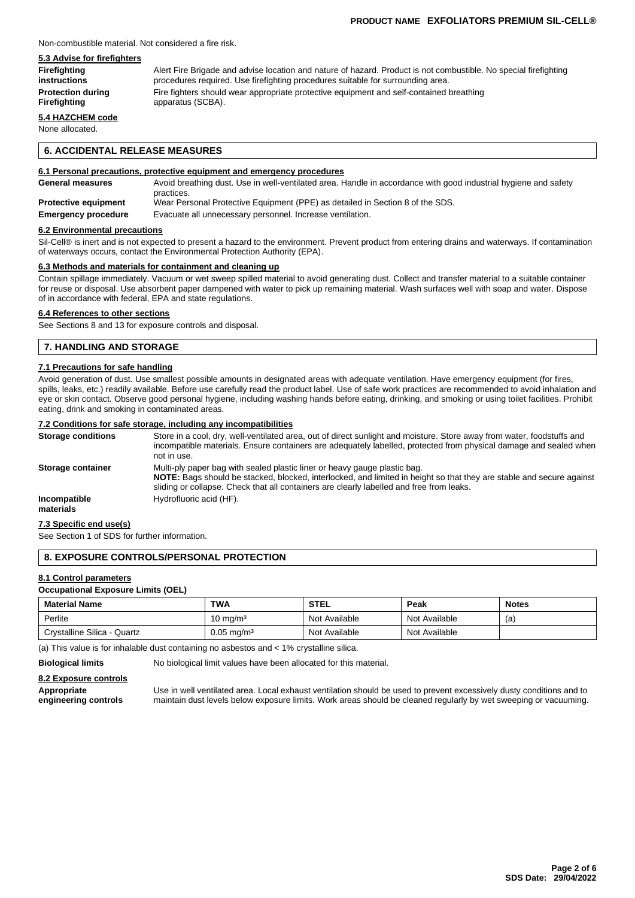#### Non-combustible material. Not considered a fire risk.

## **5.3 Advise for firefighters**

**Firefighting** Alert Fire Brigade and advise location and nature of hazard. Product is not combustible. No special firefighting **instructions procedures required.** Use firefighting procedures suitable for surrounding area. **Protection during** Fire fighters should wear appropriate protective equipment and self-contained breathing<br> **Firefighting** expansion apparatus (SCBA). **Firefighting** apparatus (SCBA).

## **5.4 HAZCHEM code**

None allocated.

## **6. ACCIDENTAL RELEASE MEASURES**

#### **6.1 Personal precautions, protective equipment and emergency procedures**

| <b>General measures</b>     | Avoid breathing dust. Use in well-ventilated area. Handle in accordance with good industrial hygiene and safety<br>practices. |
|-----------------------------|-------------------------------------------------------------------------------------------------------------------------------|
| <b>Protective equipment</b> | Wear Personal Protective Equipment (PPE) as detailed in Section 8 of the SDS.                                                 |
| <b>Emergency procedure</b>  | Evacuate all unnecessary personnel. Increase ventilation.                                                                     |

#### **6.2 Environmental precautions**

Sil-Cell® is inert and is not expected to present a hazard to the environment. Prevent product from entering drains and waterways. If contamination of waterways occurs, contact the Environmental Protection Authority (EPA).

#### **6.3 Methods and materials for containment and cleaning up**

Contain spillage immediately. Vacuum or wet sweep spilled material to avoid generating dust. Collect and transfer material to a suitable container for reuse or disposal. Use absorbent paper dampened with water to pick up remaining material. Wash surfaces well with soap and water. Dispose of in accordance with federal, EPA and state regulations.

## **6.4 References to other sections**

See Sections 8 and 13 for exposure controls and disposal.

## **7. HANDLING AND STORAGE**

## **7.1 Precautions for safe handling**

Avoid generation of dust. Use smallest possible amounts in designated areas with adequate ventilation. Have emergency equipment (for fires, spills, leaks, etc.) readily available. Before use carefully read the product label. Use of safe work practices are recommended to avoid inhalation and eye or skin contact. Observe good personal hygiene, including washing hands before eating, drinking, and smoking or using toilet facilities. Prohibit eating, drink and smoking in contaminated areas.

#### **7.2 Conditions for safe storage, including any incompatibilities**

| <b>Storage conditions</b> | Store in a cool, dry, well-ventilated area, out of direct sunlight and moisture. Store away from water, foodstuffs and<br>incompatible materials. Ensure containers are adequately labelled, protected from physical damage and sealed when<br>not in use.                                    |
|---------------------------|-----------------------------------------------------------------------------------------------------------------------------------------------------------------------------------------------------------------------------------------------------------------------------------------------|
| Storage container         | Multi-ply paper bag with sealed plastic liner or heavy gauge plastic bag.<br>NOTE: Bags should be stacked, blocked, interlocked, and limited in height so that they are stable and secure against<br>sliding or collapse. Check that all containers are clearly labelled and free from leaks. |
| Incompatible<br>materials | Hydrofluoric acid (HF).                                                                                                                                                                                                                                                                       |

#### **7.3 Specific end use(s)**

See Section 1 of SDS for further information.

## **8. EXPOSURE CONTROLS/PERSONAL PROTECTION**

## **8.1 Control parameters**

#### **Occupational Exposure Limits (OEL)**

| <b>Material Name</b>        | <b>TWA</b>            | <b>STEL</b>   | Peak          | <b>Notes</b> |
|-----------------------------|-----------------------|---------------|---------------|--------------|
| Perlite                     | $10 \text{ ma/m}^3$   | Not Available | Not Available | (a           |
| Crystalline Silica - Quartz | $0.05 \text{ mg/m}^3$ | Not Available | Not Available |              |

(a) This value is for inhalable dust containing no asbestos and < 1% crystalline silica.

**Biological limits** No biological limit values have been allocated for this material.

#### **8.2 Exposure controls**

**Appropriate** Use in well ventilated area. Local exhaust ventilation should be used to prevent excessively dusty conditions and to engineering controls maintain dust levels below exposure limits. Work areas should be clean **engineering controls** maintain dust levels below exposure limits. Work areas should be cleaned regularly by wet sweeping or vacuuming.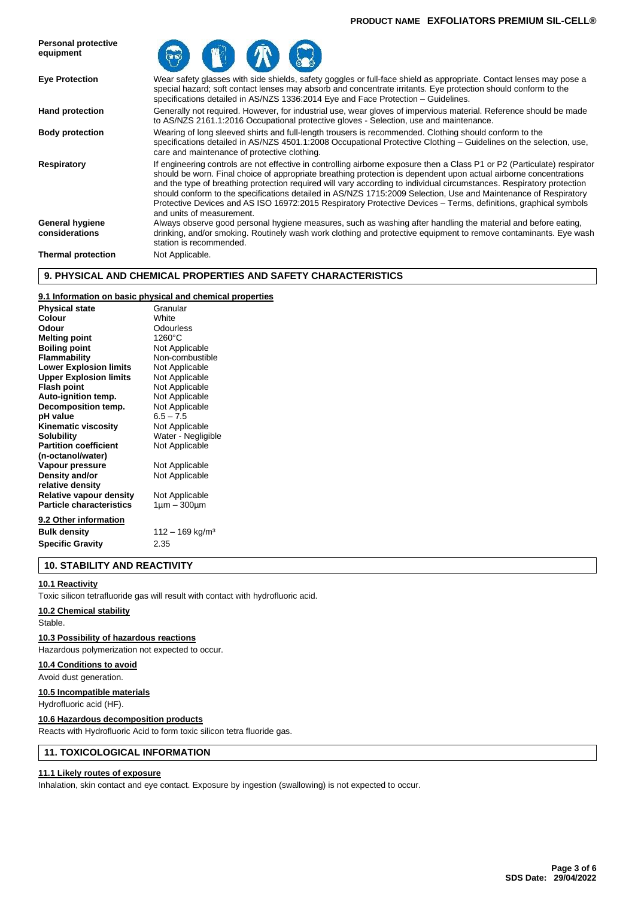#### **PRODUCT NAME EXFOLIATORS PREMIUM SIL-CELL®**



## **9. PHYSICAL AND CHEMICAL PROPERTIES AND SAFETY CHARACTERISTICS**

## **9.1 Information on basic physical and chemical properties**

| <b>Physical state</b>           | Granular                    |
|---------------------------------|-----------------------------|
| Colour                          | White                       |
| Odour                           | Odourless                   |
| <b>Melting point</b>            | 1260°C                      |
| <b>Boiling point</b>            | Not Applicable              |
| Flammability                    | Non-combustible             |
| <b>Lower Explosion limits</b>   | Not Applicable              |
| <b>Upper Explosion limits</b>   | Not Applicable              |
| <b>Flash point</b>              | Not Applicable              |
| Auto-ignition temp.             | Not Applicable              |
| Decomposition temp.             | Not Applicable              |
| pH value                        | $6.5 - 7.5$                 |
| <b>Kinematic viscosity</b>      | Not Applicable              |
| <b>Solubility</b>               | Water - Negligible          |
| <b>Partition coefficient</b>    | Not Applicable              |
| (n-octanol/water)               |                             |
| Vapour pressure                 | Not Applicable              |
| Density and/or                  | Not Applicable              |
| relative density                |                             |
| Relative vapour density         | Not Applicable              |
| <b>Particle characteristics</b> | $1 \mu m - 300 \mu m$       |
| 9.2 Other information           |                             |
| <b>Bulk density</b>             | 112 – 169 kg/m <sup>3</sup> |
| <b>Specific Gravity</b>         | 2.35                        |

## **10. STABILITY AND REACTIVITY**

#### **10.1 Reactivity**

Toxic silicon tetrafluoride gas will result with contact with hydrofluoric acid.

#### **10.2 Chemical stability**

Stable.

#### **10.3 Possibility of hazardous reactions**

Hazardous polymerization not expected to occur.

#### **10.4 Conditions to avoid**

Avoid dust generation.

#### **10.5 Incompatible materials**

Hydrofluoric acid (HF).

#### **10.6 Hazardous decomposition products**

Reacts with Hydrofluoric Acid to form toxic silicon tetra fluoride gas.

## **11. TOXICOLOGICAL INFORMATION**

#### **11.1 Likely routes of exposure**

Inhalation, skin contact and eye contact. Exposure by ingestion (swallowing) is not expected to occur.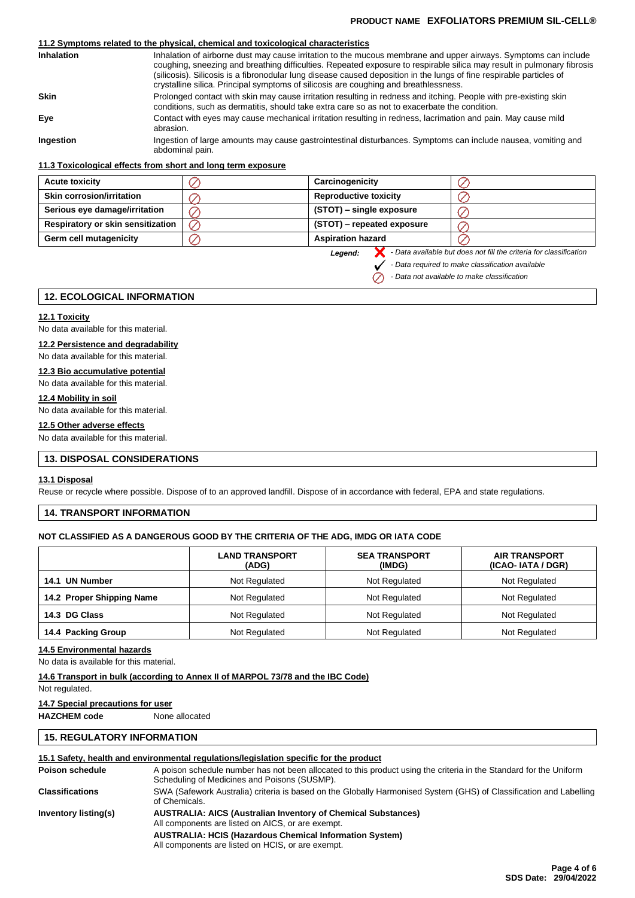## **PRODUCT NAME EXFOLIATORS PREMIUM SIL-CELL®**

## **11.2 Symptoms related to the physical, chemical and toxicological characteristics**

| <b>Inhalation</b> | Inhalation of airborne dust may cause irritation to the mucous membrane and upper airways. Symptoms can include<br>coughing, sneezing and breathing difficulties. Repeated exposure to respirable silica may result in pulmonary fibrosis<br>(silicosis). Silicosis is a fibronodular lung disease caused deposition in the lungs of fine respirable particles of<br>crystalline silica. Principal symptoms of silicosis are coughing and breathlessness. |
|-------------------|-----------------------------------------------------------------------------------------------------------------------------------------------------------------------------------------------------------------------------------------------------------------------------------------------------------------------------------------------------------------------------------------------------------------------------------------------------------|
| <b>Skin</b>       | Prolonged contact with skin may cause irritation resulting in redness and itching. People with pre-existing skin<br>conditions, such as dermatitis, should take extra care so as not to exacerbate the condition.                                                                                                                                                                                                                                         |
| Eye               | Contact with eyes may cause mechanical irritation resulting in redness, lacrimation and pain. May cause mild<br>abrasion.                                                                                                                                                                                                                                                                                                                                 |
| Ingestion         | Ingestion of large amounts may cause gastrointestinal disturbances. Symptoms can include nausea, vomiting and<br>abdominal pain.                                                                                                                                                                                                                                                                                                                          |

#### **11.3 Toxicological effects from short and long term exposure**

| <b>Acute toxicity</b>                    | Carcinogenicity              |  |
|------------------------------------------|------------------------------|--|
| <b>Skin corrosion/irritation</b>         | <b>Reproductive toxicity</b> |  |
| Serious eye damage/irritation            | (STOT) – single exposure     |  |
| <b>Respiratory or skin sensitization</b> | (STOT) – repeated exposure   |  |
| Germ cell mutagenicity                   | <b>Aspiration hazard</b>     |  |

*Legend:*

 $\oslash$ 

**-** *Data available but does not fill the criteria for classification*

*- Data required to make classification available*

*- Data not available to make classification*

## **12. ECOLOGICAL INFORMATION**

#### **12.1 Toxicity**

No data available for this material.

## **12.2 Persistence and degradability**

No data available for this material.

## **12.3 Bio accumulative potential**

No data available for this material.

## **12.4 Mobility in soil**

No data available for this material.

## **12.5 Other adverse effects**

No data available for this material.

## **13. DISPOSAL CONSIDERATIONS**

#### **13.1 Disposal**

Reuse or recycle where possible. Dispose of to an approved landfill. Dispose of in accordance with federal, EPA and state regulations.

## **14. TRANSPORT INFORMATION**

## **NOT CLASSIFIED AS A DANGEROUS GOOD BY THE CRITERIA OF THE ADG, IMDG OR IATA CODE**

|                           | <b>LAND TRANSPORT</b><br>(ADG) | <b>SEA TRANSPORT</b><br>(IMDG) | <b>AIR TRANSPORT</b><br>(ICAO-IATA / DGR) |
|---------------------------|--------------------------------|--------------------------------|-------------------------------------------|
| <b>UN Number</b><br>14.1  | Not Regulated                  | Not Regulated                  | Not Regulated                             |
| 14.2 Proper Shipping Name | Not Regulated                  | Not Regulated                  | Not Regulated                             |
| 14.3 DG Class             | Not Regulated                  | Not Regulated                  | Not Regulated                             |
| 14.4 Packing Group        | Not Regulated                  | Not Regulated                  | Not Regulated                             |

#### **14.5 Environmental hazards**

No data is available for this material.

#### **14.6 Transport in bulk (according to Annex II of MARPOL 73/78 and the IBC Code)**

Not regulated.

#### **14.7 Special precautions for user**

**HAZCHEM code** None allocated

## **15. REGULATORY INFORMATION**

## **15.1 Safety, health and environmental regulations/legislation specific for the product**

| Poison schedule        | A poison schedule number has not been allocated to this product using the criteria in the Standard for the Uniform<br>Scheduling of Medicines and Poisons (SUSMP). |
|------------------------|--------------------------------------------------------------------------------------------------------------------------------------------------------------------|
| <b>Classifications</b> | SWA (Safework Australia) criteria is based on the Globally Harmonised System (GHS) of Classification and Labelling<br>of Chemicals.                                |
| Inventory listing(s)   | <b>AUSTRALIA: AICS (Australian Inventory of Chemical Substances)</b><br>All components are listed on AICS, or are exempt.                                          |
|                        | <b>AUSTRALIA: HCIS (Hazardous Chemical Information System)</b><br>All components are listed on HCIS, or are exempt.                                                |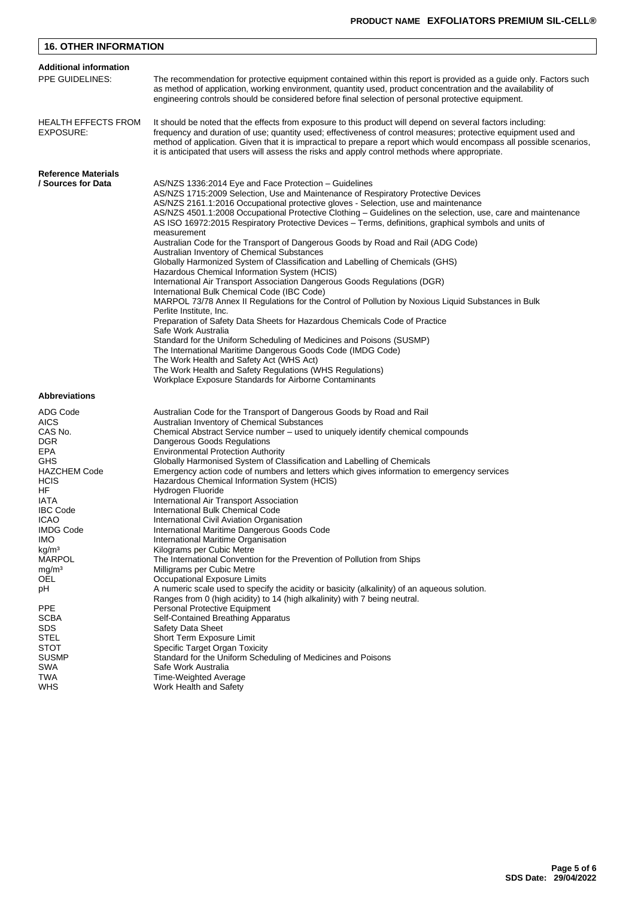| <b>16. OTHER INFORMATION</b>                                                                                                                                                                                                                                                                                                 |                                                                                                                                                                                                                                                                                                                                                                                                                                                                                                                                                                                                                                                                                                                                                                                                                                                                                                                                                                                                                                                                                                                                                                                                                                                                                                                                                                                                                          |  |
|------------------------------------------------------------------------------------------------------------------------------------------------------------------------------------------------------------------------------------------------------------------------------------------------------------------------------|--------------------------------------------------------------------------------------------------------------------------------------------------------------------------------------------------------------------------------------------------------------------------------------------------------------------------------------------------------------------------------------------------------------------------------------------------------------------------------------------------------------------------------------------------------------------------------------------------------------------------------------------------------------------------------------------------------------------------------------------------------------------------------------------------------------------------------------------------------------------------------------------------------------------------------------------------------------------------------------------------------------------------------------------------------------------------------------------------------------------------------------------------------------------------------------------------------------------------------------------------------------------------------------------------------------------------------------------------------------------------------------------------------------------------|--|
| <b>Additional information</b>                                                                                                                                                                                                                                                                                                |                                                                                                                                                                                                                                                                                                                                                                                                                                                                                                                                                                                                                                                                                                                                                                                                                                                                                                                                                                                                                                                                                                                                                                                                                                                                                                                                                                                                                          |  |
| PPE GUIDELINES:                                                                                                                                                                                                                                                                                                              | The recommendation for protective equipment contained within this report is provided as a guide only. Factors such<br>as method of application, working environment, quantity used, product concentration and the availability of<br>engineering controls should be considered before final selection of personal protective equipment.                                                                                                                                                                                                                                                                                                                                                                                                                                                                                                                                                                                                                                                                                                                                                                                                                                                                                                                                                                                                                                                                                  |  |
| <b>HEALTH EFFECTS FROM</b><br>EXPOSURE:                                                                                                                                                                                                                                                                                      | It should be noted that the effects from exposure to this product will depend on several factors including:<br>frequency and duration of use; quantity used; effectiveness of control measures; protective equipment used and<br>method of application. Given that it is impractical to prepare a report which would encompass all possible scenarios,<br>it is anticipated that users will assess the risks and apply control methods where appropriate.                                                                                                                                                                                                                                                                                                                                                                                                                                                                                                                                                                                                                                                                                                                                                                                                                                                                                                                                                                |  |
| <b>Reference Materials</b>                                                                                                                                                                                                                                                                                                   |                                                                                                                                                                                                                                                                                                                                                                                                                                                                                                                                                                                                                                                                                                                                                                                                                                                                                                                                                                                                                                                                                                                                                                                                                                                                                                                                                                                                                          |  |
| / Sources for Data                                                                                                                                                                                                                                                                                                           | AS/NZS 1336:2014 Eye and Face Protection - Guidelines<br>AS/NZS 1715:2009 Selection, Use and Maintenance of Respiratory Protective Devices<br>AS/NZS 2161.1:2016 Occupational protective gloves - Selection, use and maintenance<br>AS/NZS 4501.1:2008 Occupational Protective Clothing – Guidelines on the selection, use, care and maintenance<br>AS ISO 16972:2015 Respiratory Protective Devices – Terms, definitions, graphical symbols and units of<br>measurement<br>Australian Code for the Transport of Dangerous Goods by Road and Rail (ADG Code)<br>Australian Inventory of Chemical Substances<br>Globally Harmonized System of Classification and Labelling of Chemicals (GHS)<br>Hazardous Chemical Information System (HCIS)<br>International Air Transport Association Dangerous Goods Regulations (DGR)<br>International Bulk Chemical Code (IBC Code)<br>MARPOL 73/78 Annex II Regulations for the Control of Pollution by Noxious Liguid Substances in Bulk<br>Perlite Institute, Inc.<br>Preparation of Safety Data Sheets for Hazardous Chemicals Code of Practice<br>Safe Work Australia<br>Standard for the Uniform Scheduling of Medicines and Poisons (SUSMP)<br>The International Maritime Dangerous Goods Code (IMDG Code)<br>The Work Health and Safety Act (WHS Act)<br>The Work Health and Safety Regulations (WHS Regulations)<br>Workplace Exposure Standards for Airborne Contaminants |  |
| <b>Abbreviations</b>                                                                                                                                                                                                                                                                                                         |                                                                                                                                                                                                                                                                                                                                                                                                                                                                                                                                                                                                                                                                                                                                                                                                                                                                                                                                                                                                                                                                                                                                                                                                                                                                                                                                                                                                                          |  |
| ADG Code<br><b>AICS</b><br>CAS No.<br>DGR<br>EPA<br>GHS<br><b>HAZCHEM Code</b><br><b>HCIS</b><br>HF<br>IATA<br><b>IBC Code</b><br><b>ICAO</b><br><b>IMDG Code</b><br>IMO.<br>kg/m <sup>3</sup><br><b>MARPOL</b><br>mg/m <sup>3</sup><br>OEL<br>рH<br><b>PPE</b><br><b>SCBA</b><br>SDS<br>STEL<br>STOT<br><b>SUSMP</b><br>SWA | Australian Code for the Transport of Dangerous Goods by Road and Rail<br>Australian Inventory of Chemical Substances<br>Chemical Abstract Service number - used to uniquely identify chemical compounds<br>Dangerous Goods Regulations<br><b>Environmental Protection Authority</b><br>Globally Harmonised System of Classification and Labelling of Chemicals<br>Emergency action code of numbers and letters which gives information to emergency services<br>Hazardous Chemical Information System (HCIS)<br>Hydrogen Fluoride<br>International Air Transport Association<br>International Bulk Chemical Code<br>International Civil Aviation Organisation<br>International Maritime Dangerous Goods Code<br>International Maritime Organisation<br>Kilograms per Cubic Metre<br>The International Convention for the Prevention of Pollution from Ships<br>Milligrams per Cubic Metre<br>Occupational Exposure Limits<br>A numeric scale used to specify the acidity or basicity (alkalinity) of an aqueous solution.<br>Ranges from 0 (high acidity) to 14 (high alkalinity) with 7 being neutral.<br><b>Personal Protective Equipment</b><br>Self-Contained Breathing Apparatus<br><b>Safety Data Sheet</b><br>Short Term Exposure Limit<br>Specific Target Organ Toxicity<br>Standard for the Uniform Scheduling of Medicines and Poisons<br>Safe Work Australia                                                  |  |
| TWA<br><b>WHS</b>                                                                                                                                                                                                                                                                                                            | Time-Weighted Average<br>Work Health and Safety                                                                                                                                                                                                                                                                                                                                                                                                                                                                                                                                                                                                                                                                                                                                                                                                                                                                                                                                                                                                                                                                                                                                                                                                                                                                                                                                                                          |  |